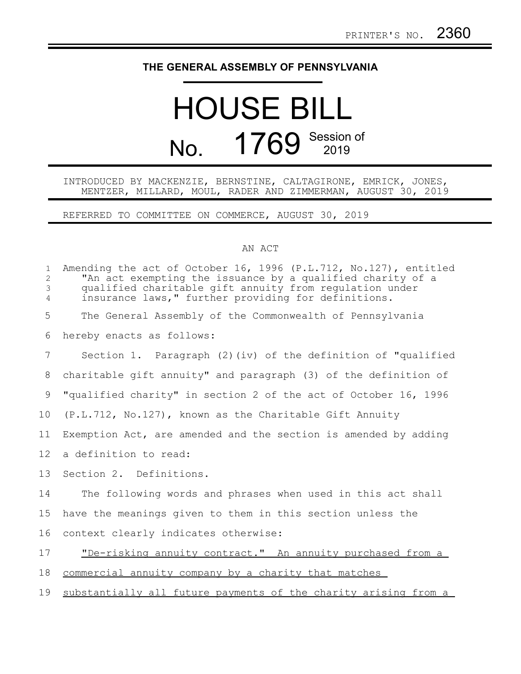## **THE GENERAL ASSEMBLY OF PENNSYLVANIA**

# HOUSE BILL No. 1769 Session of

#### INTRODUCED BY MACKENZIE, BERNSTINE, CALTAGIRONE, EMRICK, JONES, MENTZER, MILLARD, MOUL, RADER AND ZIMMERMAN, AUGUST 30, 2019

REFERRED TO COMMITTEE ON COMMERCE, AUGUST 30, 2019

#### AN ACT

| $\mathbf{1}$<br>2<br>3<br>$\overline{4}$ | Amending the act of October 16, 1996 (P.L.712, No.127), entitled<br>"An act exempting the issuance by a qualified charity of a<br>qualified charitable gift annuity from regulation under<br>insurance laws," further providing for definitions. |
|------------------------------------------|--------------------------------------------------------------------------------------------------------------------------------------------------------------------------------------------------------------------------------------------------|
| 5                                        | The General Assembly of the Commonwealth of Pennsylvania                                                                                                                                                                                         |
| 6                                        | hereby enacts as follows:                                                                                                                                                                                                                        |
| $7\phantom{.0}$                          | Section 1. Paragraph (2) (iv) of the definition of "qualified                                                                                                                                                                                    |
| 8                                        | charitable gift annuity" and paragraph (3) of the definition of                                                                                                                                                                                  |
| 9                                        | "qualified charity" in section 2 of the act of October 16, 1996                                                                                                                                                                                  |
| 10                                       | (P.L.712, No.127), known as the Charitable Gift Annuity                                                                                                                                                                                          |
| 11                                       | Exemption Act, are amended and the section is amended by adding                                                                                                                                                                                  |
| 12                                       | a definition to read:                                                                                                                                                                                                                            |
| 13                                       | Section 2. Definitions.                                                                                                                                                                                                                          |
| 14                                       | The following words and phrases when used in this act shall                                                                                                                                                                                      |
| 15                                       | have the meanings given to them in this section unless the                                                                                                                                                                                       |
| 16                                       | context clearly indicates otherwise:                                                                                                                                                                                                             |
| 17                                       | "De-risking annuity contract." An annuity purchased from a                                                                                                                                                                                       |
| 18                                       | commercial annuity company by a charity that matches                                                                                                                                                                                             |
| 19                                       | substantially all future payments of the charity arising from a                                                                                                                                                                                  |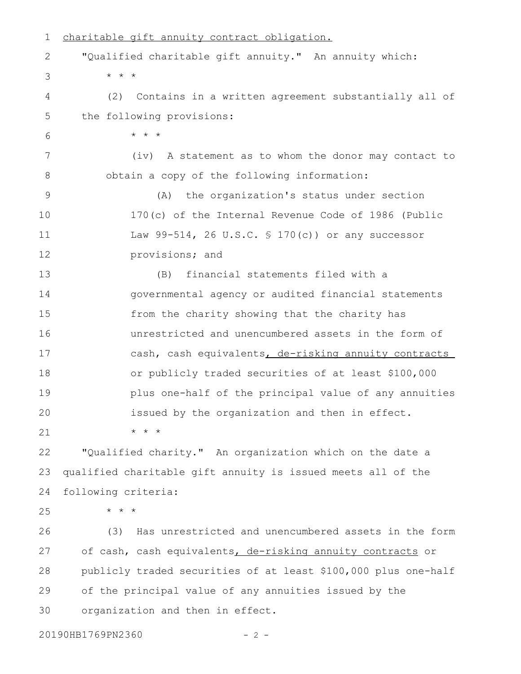charitable gift annuity contract obligation. "Qualified charitable gift annuity." An annuity which: \* \* \* (2) Contains in a written agreement substantially all of the following provisions: \* \* \* (iv) A statement as to whom the donor may contact to obtain a copy of the following information: (A) the organization's status under section 170(c) of the Internal Revenue Code of 1986 (Public Law 99-514, 26 U.S.C. § 170(c)) or any successor provisions; and (B) financial statements filed with a governmental agency or audited financial statements from the charity showing that the charity has unrestricted and unencumbered assets in the form of cash, cash equivalents, de-risking annuity contracts or publicly traded securities of at least \$100,000 plus one-half of the principal value of any annuities issued by the organization and then in effect. \* \* \* "Qualified charity." An organization which on the date a qualified charitable gift annuity is issued meets all of the following criteria: \* \* \* (3) Has unrestricted and unencumbered assets in the form of cash, cash equivalents, de-risking annuity contracts or publicly traded securities of at least \$100,000 plus one-half of the principal value of any annuities issued by the organization and then in effect. 20190HB1769PN2360 - 2 -1 2 3 4 5 6 7 8 9 10 11 12 13 14 15 16 17 18 19 20 21 22 23 24 25 26 27 28 29 30